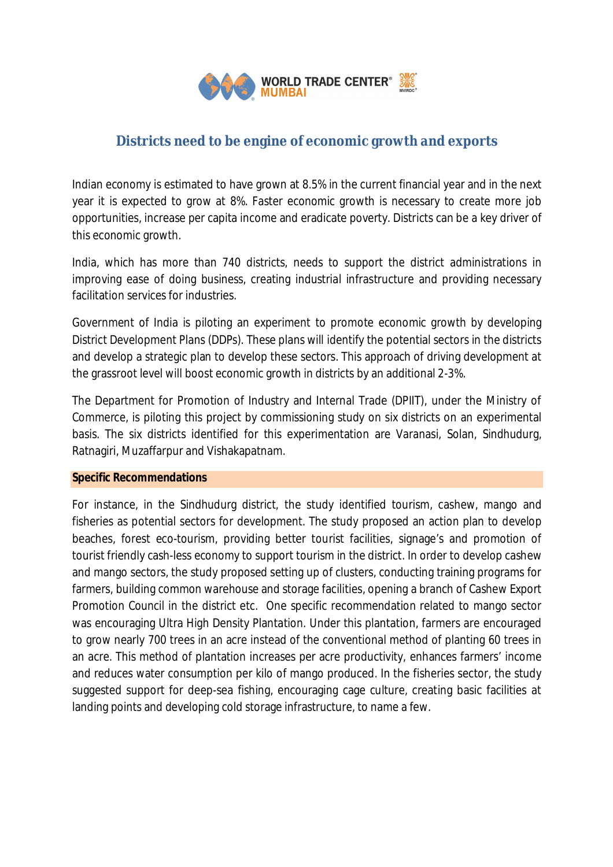

# **Districts need to be engine of economic growth and exports**

Indian economy is estimated to have grown at 8.5% in the current financial year and in the next year it is expected to grow at 8%. Faster economic growth is necessary to create more job opportunities, increase per capita income and eradicate poverty. Districts can be a key driver of this economic growth.

India, which has more than 740 districts, needs to support the district administrations in improving ease of doing business, creating industrial infrastructure and providing necessary facilitation services for industries.

Government of India is piloting an experiment to promote economic growth by developing District Development Plans (DDPs). These plans will identify the potential sectors in the districts and develop a strategic plan to develop these sectors. This approach of driving development at the grassroot level will boost economic growth in districts by an additional 2-3%.

The Department for Promotion of Industry and Internal Trade (DPIIT), under the Ministry of Commerce, is piloting this project by commissioning study on six districts on an experimental basis. The six districts identified for this experimentation are Varanasi, Solan, Sindhudurg, Ratnagiri, Muzaffarpur and Vishakapatnam.

## **Specific Recommendations**

For instance, in the Sindhudurg district, the study identified tourism, cashew, mango and fisheries as potential sectors for development. The study proposed an action plan to develop beaches, forest eco-tourism, providing better tourist facilities, signage's and promotion of tourist friendly cash-less economy to support tourism in the district. In order to develop cashew and mango sectors, the study proposed setting up of clusters, conducting training programs for farmers, building common warehouse and storage facilities, opening a branch of Cashew Export Promotion Council in the district etc. One specific recommendation related to mango sector was encouraging Ultra High Density Plantation. Under this plantation, farmers are encouraged to grow nearly 700 trees in an acre instead of the conventional method of planting 60 trees in an acre. This method of plantation increases per acre productivity, enhances farmers' income and reduces water consumption per kilo of mango produced. In the fisheries sector, the study suggested support for deep-sea fishing, encouraging cage culture, creating basic facilities at landing points and developing cold storage infrastructure, to name a few.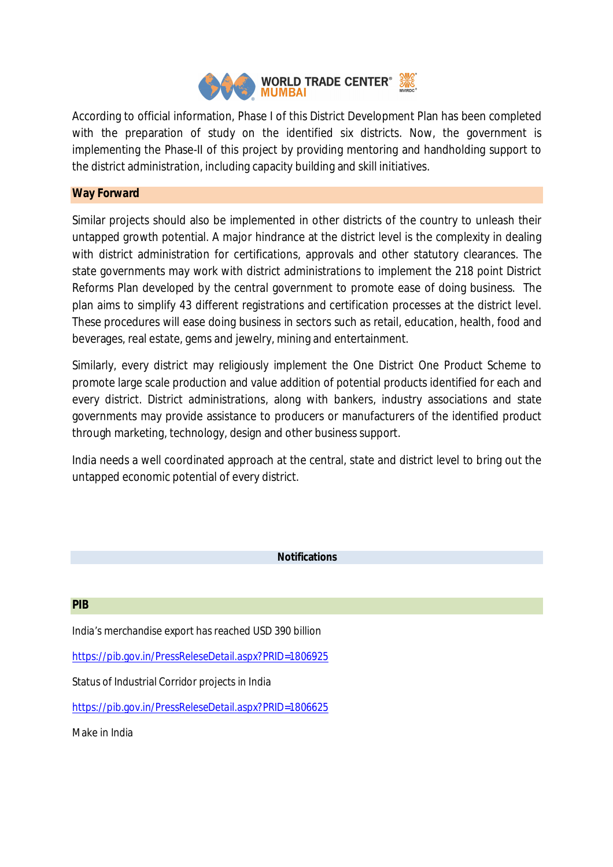

According to official information, Phase I of this District Development Plan has been completed with the preparation of study on the identified six districts. Now, the government is implementing the Phase-II of this project by providing mentoring and handholding support to the district administration, including capacity building and skill initiatives.

## **Way Forward**

Similar projects should also be implemented in other districts of the country to unleash their untapped growth potential. A major hindrance at the district level is the complexity in dealing with district administration for certifications, approvals and other statutory clearances. The state governments may work with district administrations to implement the 218 point District Reforms Plan developed by the central government to promote ease of doing business. The plan aims to simplify 43 different registrations and certification processes at the district level. These procedures will ease doing business in sectors such as retail, education, health, food and beverages, real estate, gems and jewelry, mining and entertainment.

Similarly, every district may religiously implement the One District One Product Scheme to promote large scale production and value addition of potential products identified for each and every district. District administrations, along with bankers, industry associations and state governments may provide assistance to producers or manufacturers of the identified product through marketing, technology, design and other business support.

India needs a well coordinated approach at the central, state and district level to bring out the untapped economic potential of every district.

## **Notifications**

#### **PIB**

India's merchandise export has reached USD 390 billion

https://pib.gov.in/PressReleseDetail.aspx?PRID=1806925

Status of Industrial Corridor projects in India

https://pib.gov.in/PressReleseDetail.aspx?PRID=1806625

Make in India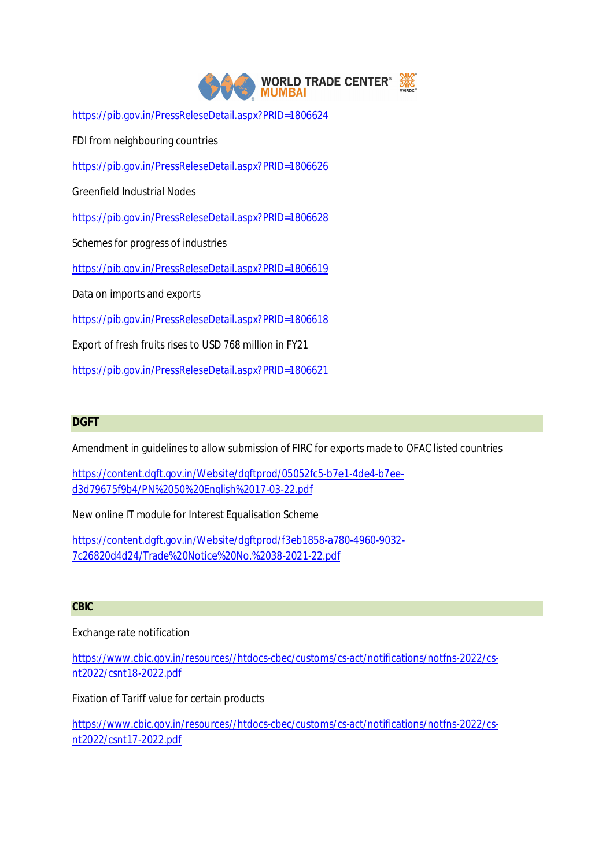

https://pib.gov.in/PressReleseDetail.aspx?PRID=1806624

FDI from neighbouring countries

https://pib.gov.in/PressReleseDetail.aspx?PRID=1806626

Greenfield Industrial Nodes

https://pib.gov.in/PressReleseDetail.aspx?PRID=1806628

Schemes for progress of industries

https://pib.gov.in/PressReleseDetail.aspx?PRID=1806619

Data on imports and exports

https://pib.gov.in/PressReleseDetail.aspx?PRID=1806618

Export of fresh fruits rises to USD 768 million in FY21

https://pib.gov.in/PressReleseDetail.aspx?PRID=1806621

## **DGFT**

Amendment in guidelines to allow submission of FIRC for exports made to OFAC listed countries

https://content.dgft.gov.in/Website/dgftprod/05052fc5-b7e1-4de4-b7eed3d79675f9b4/PN%2050%20English%2017-03-22.pdf

New online IT module for Interest Equalisation Scheme

https://content.dgft.gov.in/Website/dgftprod/f3eb1858-a780-4960-9032- 7c26820d4d24/Trade%20Notice%20No.%2038-2021-22.pdf

#### **CBIC**

Exchange rate notification

https://www.cbic.gov.in/resources//htdocs-cbec/customs/cs-act/notifications/notfns-2022/csnt2022/csnt18-2022.pdf

Fixation of Tariff value for certain products

https://www.cbic.gov.in/resources//htdocs-cbec/customs/cs-act/notifications/notfns-2022/csnt2022/csnt17-2022.pdf